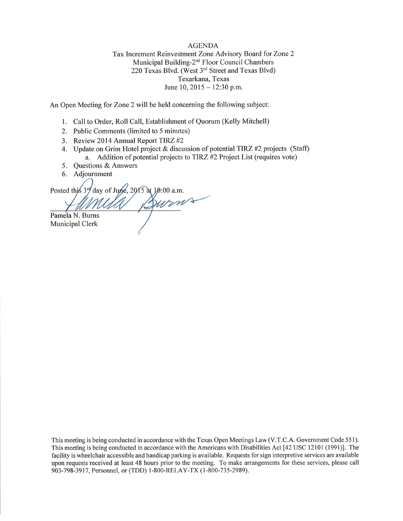#### **AGENDA**

Tax Increment Reinvestment Zone Advisory Board for Zone 2 Municipal Building-2<sup>nd</sup> Floor Council Chambers 220 Texas Blvd. (West 3rd Street and Texas Blvd) Texarkana, Texas June 10,  $2015 - 12:30$  p.m.

An Open Meeting for Zone 2 will be held concerning the following subject:

- 1. Call to Order, Roll Call, Establishment of Quorum (Kelly Mitchell)
- 2. Public Comments (limited to 5 minutes)
- 3. Review 2014 Annual Report TIRZ #2
- 4. Update on Grim Hotel project & discussion of potential TIRZ #2 projects (Staff) a. Addition of potential projects to TIRZ #2 Project List (requires vote)
- 5. Questions & Answers
- 6. Adjournment

Posted this  $3^{rq}$  day of June, 2015 at 10:00 a.m. Burns Pamela N. Burns

Municipal Clerk

This meeting is being conducted in accordance with the Texas Open Meetings Law (V.T.C.A. Government Code 551). This meeting is being conducted in accordance with the Americans with Disabilities Act [42 USC 12101 (1991)]. The facility is wheelchair accessible and handicap parking is available. Requests for sign interpretive services are available upon requests received at least 48 hours prior to the meeting. To make arrangements for these services, please call 903-798-3917, Personnel, or (TDD) 1-800-RELAY-TX (1-800-735-2989).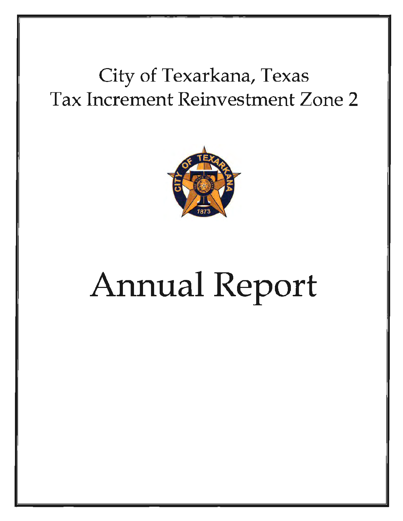# City of Texarkana, Texas Tax Increment Reinvestment Zone 2



# Annual Report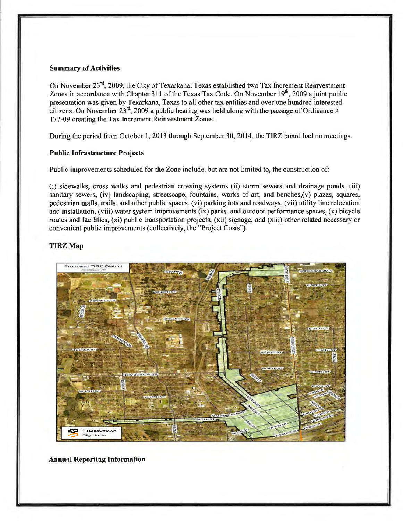#### Summary of Activities

On November  $23^{rd}$ , 2009, the City of Texarkana, Texas established two Tax Increment Reinvestment Zones in accordance with Chapter 311 of the Texas Tax Code. On November  $19<sup>th</sup>$ , 2009 a joint public presentation was given by Texarkana, Texas to all other tax entities and over one hundred interested citizens. On November  $23<sup>rd</sup>$ , 2009 a public hearing was held along with the passage of Ordinance # 177-09 creating the Tax Increment Reinvestment Zones.

During the period from October I, 2013 through September 30, 2014, the TIRZ board had no meetings.

#### Public Infrastructure Projects

Public improvements scheduled for the Zone include, but are not limited to, the construction of:

(i) sidewalks, cross walks and pedestrian crossing systems (ii) storm sewers and drainage ponds, (iii) sanitary sewers, (iv) landscaping, streetscape, fountains, works of art, and benches,(v) plazas, squares, pedestrian malls, trails, and other public spaces, (vi) parking lots and roadways, (vii) utility line relocation and installation, (viii) water system improvements (ix) parks, and outdoor perfonnance spaces, (x) bicycle routes and facilities, (xi) public transportation projects, (xii) signage, and (xiii) other related necessary or convenient public improvements (collectively, the "Project Costs").

#### TIRZ Map



Annual Reporting Information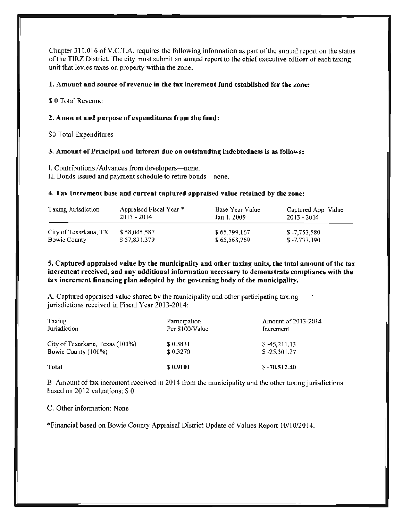Chapter 311.016 of V.C.T.A. requires the following information as part of the annual report on the status of the TIRZ District. The city must submit an annual report to the chief executive officer of each taxing unit that levies taxes on property within the zone.

#### 1. Amount and source of revenue in the tax increment fund established for the zone:

\$ 0 Total Revenue

#### 2. Amount and purpose of expenditures from the fund:

\$0 Total Expenditures

#### 3. Amount of Principal and Interest due on outstanding indebtedness is as follows:

I. Contributions / Advances from developers-none.

II. Bonds issued and payment schedule to retire bonds-none.

#### 4. Tax Increment base and current captured appraised value retained by the zone:

| Taxing Jurisdiction   | Appraised Fiscal Year *<br>$2013 - 2014$ | Base Year Value<br>Jan 1, 2009 | Captured App. Value<br>$2013 - 2014$ |
|-----------------------|------------------------------------------|--------------------------------|--------------------------------------|
| City of Texarkana, TX | \$58,045,587                             | \$65,799,167                   | $$-7,753,580$                        |
| Bowie County          | \$57,831,379                             | \$65,568,769                   | \$ -7,737,390                        |

5. Captured appraised value by the municipality and other taxing units, the total amount of the tax increment received, and any additional information necessary to demonstrate compliance with the tax increment financing plan adopted by the governing body of the municipality.

A. Captured appraised value shared by the municipality and other participating taxing jurisdictions received in Fiscal Year 2013-2014:

| Taxing                          | Participation   | Amount of 2013-2014 |
|---------------------------------|-----------------|---------------------|
| Jurisdiction                    | Per \$100/Value | Increment           |
| City of Texarkana, Texas (100%) | \$0.5831        | $$-45,211.13$       |
| Bowie County (100%)             | \$0.3270        | $$ -25,301.27$      |
| Total                           | \$0.9101        | $$-70,512.40$       |

B. Amount of tax increment received in 2014 from the municipality and the other taxing jurisdictions based on 2012 valuations: \$ 0

C. Other information: None

\*Financial based on Bowie County Appraisal District Update of Values Report 10/10/2014.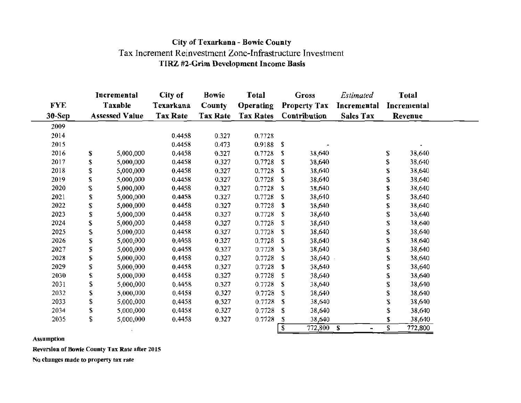## City of Texarkana - Bowie County Tax Increment Reinvestment Zone-Infrastructure Investment TIRZ #2-Grim Development Income Basis

|                                   |    | Incremental     | City of         | <b>Bowie</b>     | <b>Total</b>     |    | <b>Gross</b>        | Estimated           |         | <b>Total</b> |
|-----------------------------------|----|-----------------|-----------------|------------------|------------------|----|---------------------|---------------------|---------|--------------|
| <b>FYE</b>                        |    | Taxable         | Texarkana       | County           | <b>Operating</b> |    | <b>Property Tax</b> | Incremental         |         | Incremental  |
| $30-Sep$<br><b>Assessed Value</b> |    | <b>Tax Rate</b> | <b>Tax Rate</b> | <b>Tax Rates</b> | Contribution     |    | <b>Sales Tax</b>    |                     | Revenue |              |
| 2009                              |    |                 |                 |                  |                  |    |                     |                     |         |              |
| 2014                              |    |                 | 0.4458          | 0.327            | 0.7728           |    |                     |                     |         |              |
| 2015                              |    |                 | 0.4458          | 0.473            | 0.9188           | S  |                     |                     |         |              |
| 2016                              | \$ | 5,000,000       | 0.4458          | 0.327            | 0.7728           | S  | 38,640              |                     | \$      | 38,640       |
| 2017                              | \$ | 5,000,000       | 0.4458          | 0.327            | 0.7728           | S  | 38,640              |                     | S       | 38,640       |
| 2018                              | \$ | 5,000,000       | 0.4458          | 0.327            | 0.7728           | S  | 38,640              |                     | \$      | 38,640       |
| 2019                              | \$ | 5,000,000       | 0.4458          | 0.327            | 0.7728           | \$ | 38,640              |                     | S       | 38,640       |
| 2020                              | \$ | 5,000,000       | 0.4458          | 0.327            | 0.7728           | \$ | 38,640              |                     |         | 38,640       |
| 2021                              | \$ | 5,000,000       | 0.4458          | 0.327            | 0.7728           | \$ | 38,640              |                     | \$      | 38,640       |
| 2022                              | \$ | 5,000,000       | 0.4458          | 0.327            | 0.7728           | \$ | 38,640              |                     | \$      | 38,640       |
| 2023                              | \$ | 5,000,000       | 0.4458          | 0.327            | 0.7728           | S  | 38,640              |                     | S       | 38,640       |
| 2024                              | \$ | 5,000,000       | 0.4458          | 0.327            | 0.7728           | S  | 38,640              |                     | \$      | 38,640       |
| 2025                              | \$ | 5,000,000       | 0.4458          | 0.327            | 0.7728           | \$ | 38,640              |                     | \$      | 38,640       |
| 2026                              | \$ | 5,000,000       | 0.4458          | 0.327            | 0.7728           | \$ | 38,640              |                     |         | 38,640       |
| 2027                              | \$ | 5,000,000       | 0.4458          | 0.327            | 0.7728           | S  | 38,640              |                     | \$      | 38,640       |
| 2028                              | \$ | 5,000,000       | 0.4458          | 0.327            | 0.7728           | \$ | 38,640              |                     | \$      | 38,640       |
| 2029                              | \$ | 5,000,000       | 0.4458          | 0.327            | 0.7728           | \$ | 38,640              |                     |         | 38,640       |
| 2030                              | \$ | 5,000,000       | 0.4458          | 0.327            | 0.7728           | S  | 38,640              |                     | \$      | 38,640       |
| 2031                              | \$ | 5,000,000       | 0.4458          | 0.327            | 0.7728           | -S | 38,640              |                     | \$      | 38,640       |
| 2032                              | \$ | 5,000,000       | 0.4458          | 0.327            | 0.7728           | S  | 38,640              |                     |         | 38,640       |
| 2033                              | \$ | 5,000,000       | 0.4458          | 0.327            | 0.7728           | S  | 38,640              |                     | \$      | 38,640       |
| 2034                              | \$ | 5,000,000       | 0.4458          | 0.327            | 0.7728           | \$ | 38,640              |                     | \$      | 38,640       |
| 2035                              | \$ | 5,000,000       | 0.4458          | 0.327            | 0.7728           | S  | 38,640              |                     |         | 38,640       |
|                                   |    |                 |                 |                  |                  | \$ | 772,800             | S<br>$\blacksquare$ | \$      | 772,800      |

Assumption

Reversion of Bowie County Tax Rate after 2015

No changes made to property tax rate